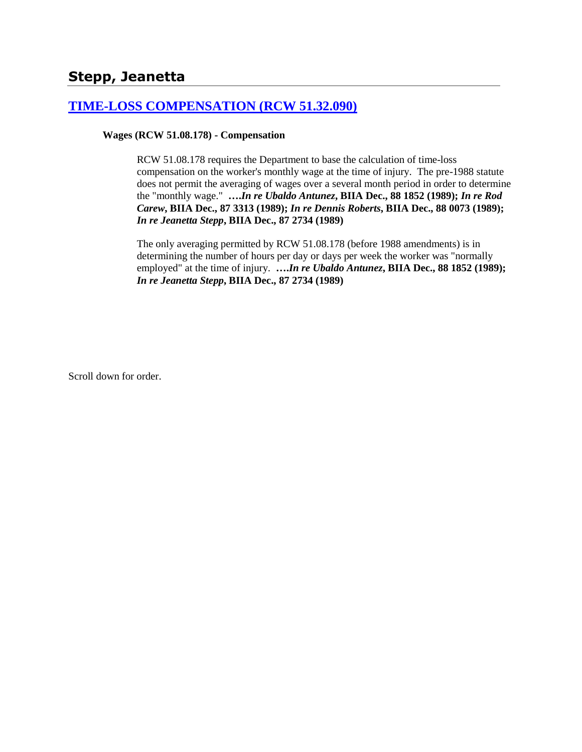# **Stepp, Jeanetta**

### **[TIME-LOSS COMPENSATION \(RCW 51.32.090\)](http://www.biia.wa.gov/SDSubjectIndex.html#TIME_LOSS_COMPENSATION)**

### **Wages (RCW 51.08.178) - Compensation**

RCW 51.08.178 requires the Department to base the calculation of time-loss compensation on the worker's monthly wage at the time of injury. The pre-1988 statute does not permit the averaging of wages over a several month period in order to determine the "monthly wage." **….***In re Ubaldo Antunez***, BIIA Dec., 88 1852 (1989);** *In re Rod Carew***, BIIA Dec., 87 3313 (1989);** *In re Dennis Roberts***, BIIA Dec., 88 0073 (1989);**  *In re Jeanetta Stepp***, BIIA Dec., 87 2734 (1989)** 

The only averaging permitted by RCW 51.08.178 (before 1988 amendments) is in determining the number of hours per day or days per week the worker was "normally employed" at the time of injury. **….***In re Ubaldo Antunez***, BIIA Dec., 88 1852 (1989);**  *In re Jeanetta Stepp***, BIIA Dec., 87 2734 (1989)**

Scroll down for order.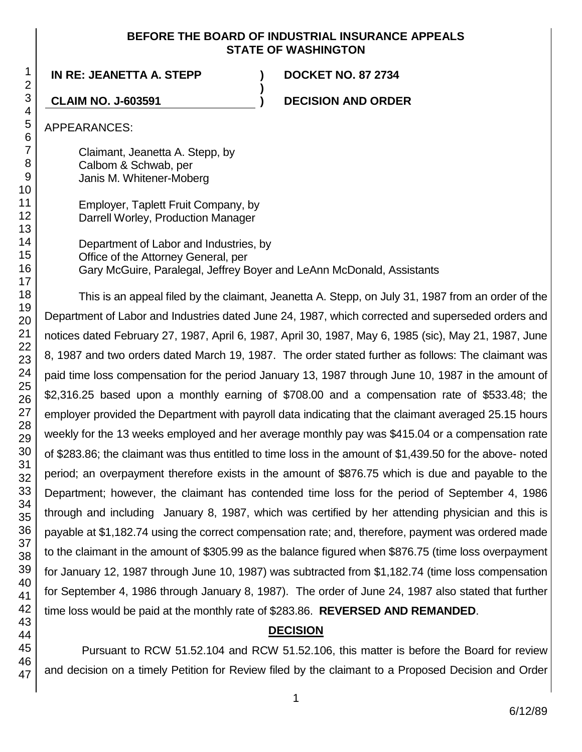### **BEFORE THE BOARD OF INDUSTRIAL INSURANCE APPEALS STATE OF WASHINGTON**

**IN RE: JEANETTA A. STEPP ) DOCKET NO. 87 2734**

**CLAIM NO. J-603591 ) DECISION AND ORDER**

APPEARANCES:

Claimant, Jeanetta A. Stepp, by Calbom & Schwab, per Janis M. Whitener-Moberg

Employer, Taplett Fruit Company, by Darrell Worley, Production Manager

Department of Labor and Industries, by Office of the Attorney General, per Gary McGuire, Paralegal, Jeffrey Boyer and LeAnn McDonald, Assistants

**)**

This is an appeal filed by the claimant, Jeanetta A. Stepp, on July 31, 1987 from an order of the Department of Labor and Industries dated June 24, 1987, which corrected and superseded orders and notices dated February 27, 1987, April 6, 1987, April 30, 1987, May 6, 1985 (sic), May 21, 1987, June 8, 1987 and two orders dated March 19, 1987. The order stated further as follows: The claimant was paid time loss compensation for the period January 13, 1987 through June 10, 1987 in the amount of \$2,316.25 based upon a monthly earning of \$708.00 and a compensation rate of \$533.48; the employer provided the Department with payroll data indicating that the claimant averaged 25.15 hours weekly for the 13 weeks employed and her average monthly pay was \$415.04 or a compensation rate of \$283.86; the claimant was thus entitled to time loss in the amount of \$1,439.50 for the above- noted period; an overpayment therefore exists in the amount of \$876.75 which is due and payable to the Department; however, the claimant has contended time loss for the period of September 4, 1986 through and including January 8, 1987, which was certified by her attending physician and this is payable at \$1,182.74 using the correct compensation rate; and, therefore, payment was ordered made to the claimant in the amount of \$305.99 as the balance figured when \$876.75 (time loss overpayment for January 12, 1987 through June 10, 1987) was subtracted from \$1,182.74 (time loss compensation for September 4, 1986 through January 8, 1987). The order of June 24, 1987 also stated that further time loss would be paid at the monthly rate of \$283.86. **REVERSED AND REMANDED**.

# **DECISION**

Pursuant to RCW 51.52.104 and RCW 51.52.106, this matter is before the Board for review and decision on a timely Petition for Review filed by the claimant to a Proposed Decision and Order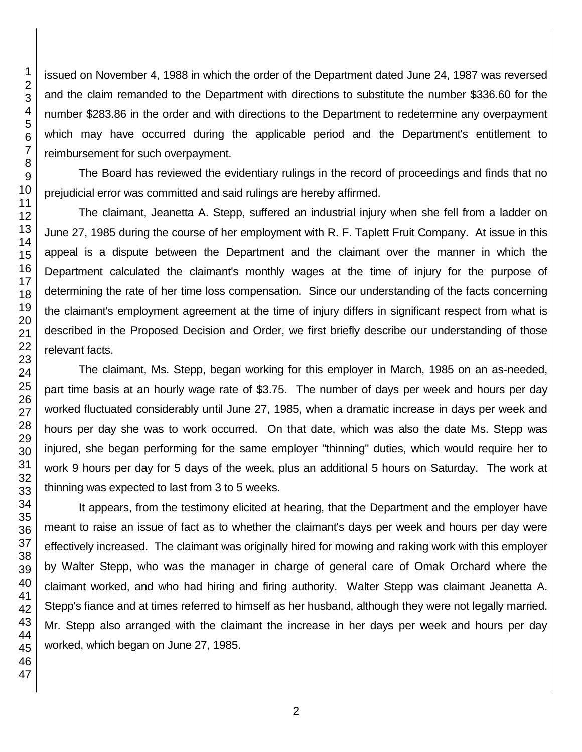issued on November 4, 1988 in which the order of the Department dated June 24, 1987 was reversed and the claim remanded to the Department with directions to substitute the number \$336.60 for the number \$283.86 in the order and with directions to the Department to redetermine any overpayment which may have occurred during the applicable period and the Department's entitlement to reimbursement for such overpayment.

The Board has reviewed the evidentiary rulings in the record of proceedings and finds that no prejudicial error was committed and said rulings are hereby affirmed.

The claimant, Jeanetta A. Stepp, suffered an industrial injury when she fell from a ladder on June 27, 1985 during the course of her employment with R. F. Taplett Fruit Company. At issue in this appeal is a dispute between the Department and the claimant over the manner in which the Department calculated the claimant's monthly wages at the time of injury for the purpose of determining the rate of her time loss compensation. Since our understanding of the facts concerning the claimant's employment agreement at the time of injury differs in significant respect from what is described in the Proposed Decision and Order, we first briefly describe our understanding of those relevant facts.

The claimant, Ms. Stepp, began working for this employer in March, 1985 on an as-needed, part time basis at an hourly wage rate of \$3.75. The number of days per week and hours per day worked fluctuated considerably until June 27, 1985, when a dramatic increase in days per week and hours per day she was to work occurred. On that date, which was also the date Ms. Stepp was injured, she began performing for the same employer "thinning" duties, which would require her to work 9 hours per day for 5 days of the week, plus an additional 5 hours on Saturday. The work at thinning was expected to last from 3 to 5 weeks.

It appears, from the testimony elicited at hearing, that the Department and the employer have meant to raise an issue of fact as to whether the claimant's days per week and hours per day were effectively increased. The claimant was originally hired for mowing and raking work with this employer by Walter Stepp, who was the manager in charge of general care of Omak Orchard where the claimant worked, and who had hiring and firing authority. Walter Stepp was claimant Jeanetta A. Stepp's fiance and at times referred to himself as her husband, although they were not legally married. Mr. Stepp also arranged with the claimant the increase in her days per week and hours per day worked, which began on June 27, 1985.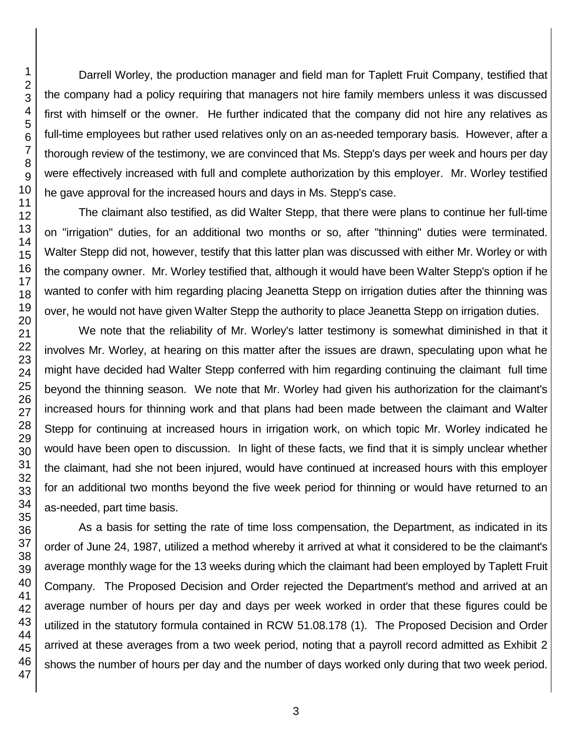Darrell Worley, the production manager and field man for Taplett Fruit Company, testified that the company had a policy requiring that managers not hire family members unless it was discussed first with himself or the owner. He further indicated that the company did not hire any relatives as full-time employees but rather used relatives only on an as-needed temporary basis. However, after a thorough review of the testimony, we are convinced that Ms. Stepp's days per week and hours per day were effectively increased with full and complete authorization by this employer. Mr. Worley testified he gave approval for the increased hours and days in Ms. Stepp's case.

The claimant also testified, as did Walter Stepp, that there were plans to continue her full-time on "irrigation" duties, for an additional two months or so, after "thinning" duties were terminated. Walter Stepp did not, however, testify that this latter plan was discussed with either Mr. Worley or with the company owner. Mr. Worley testified that, although it would have been Walter Stepp's option if he wanted to confer with him regarding placing Jeanetta Stepp on irrigation duties after the thinning was over, he would not have given Walter Stepp the authority to place Jeanetta Stepp on irrigation duties.

We note that the reliability of Mr. Worley's latter testimony is somewhat diminished in that it involves Mr. Worley, at hearing on this matter after the issues are drawn, speculating upon what he might have decided had Walter Stepp conferred with him regarding continuing the claimant full time beyond the thinning season. We note that Mr. Worley had given his authorization for the claimant's increased hours for thinning work and that plans had been made between the claimant and Walter Stepp for continuing at increased hours in irrigation work, on which topic Mr. Worley indicated he would have been open to discussion. In light of these facts, we find that it is simply unclear whether the claimant, had she not been injured, would have continued at increased hours with this employer for an additional two months beyond the five week period for thinning or would have returned to an as-needed, part time basis.

As a basis for setting the rate of time loss compensation, the Department, as indicated in its order of June 24, 1987, utilized a method whereby it arrived at what it considered to be the claimant's average monthly wage for the 13 weeks during which the claimant had been employed by Taplett Fruit Company. The Proposed Decision and Order rejected the Department's method and arrived at an average number of hours per day and days per week worked in order that these figures could be utilized in the statutory formula contained in RCW 51.08.178 (1). The Proposed Decision and Order arrived at these averages from a two week period, noting that a payroll record admitted as Exhibit 2 shows the number of hours per day and the number of days worked only during that two week period.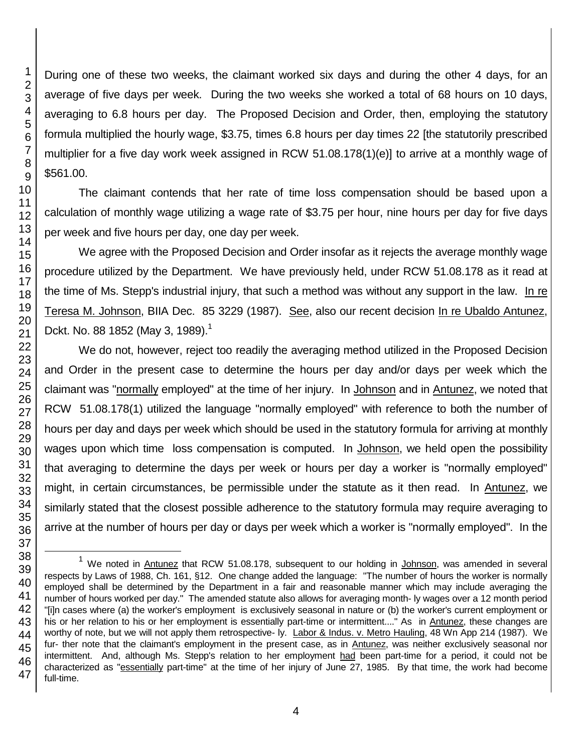During one of these two weeks, the claimant worked six days and during the other 4 days, for an average of five days per week. During the two weeks she worked a total of 68 hours on 10 days, averaging to 6.8 hours per day. The Proposed Decision and Order, then, employing the statutory formula multiplied the hourly wage, \$3.75, times 6.8 hours per day times 22 [the statutorily prescribed multiplier for a five day work week assigned in RCW 51.08.178(1)(e)] to arrive at a monthly wage of \$561.00.

The claimant contends that her rate of time loss compensation should be based upon a calculation of monthly wage utilizing a wage rate of \$3.75 per hour, nine hours per day for five days per week and five hours per day, one day per week.

We agree with the Proposed Decision and Order insofar as it rejects the average monthly wage procedure utilized by the Department. We have previously held, under RCW 51.08.178 as it read at the time of Ms. Stepp's industrial injury, that such a method was without any support in the law. In re Teresa M. Johnson, BIIA Dec. 85 3229 (1987). See, also our recent decision In re Ubaldo Antunez, Dckt. No. 88 1852 (May 3, 1989).<sup>1</sup>

We do not, however, reject too readily the averaging method utilized in the Proposed Decision and Order in the present case to determine the hours per day and/or days per week which the claimant was "normally employed" at the time of her injury. In Johnson and in Antunez, we noted that RCW 51.08.178(1) utilized the language "normally employed" with reference to both the number of hours per day and days per week which should be used in the statutory formula for arriving at monthly wages upon which time loss compensation is computed. In Johnson, we held open the possibility that averaging to determine the days per week or hours per day a worker is "normally employed" might, in certain circumstances, be permissible under the statute as it then read. In Antunez, we similarly stated that the closest possible adherence to the statutory formula may require averaging to arrive at the number of hours per day or days per week which a worker is "normally employed". In the

l

 $1$  We noted in Antunez that RCW 51.08.178, subsequent to our holding in Johnson, was amended in several respects by Laws of 1988, Ch. 161, §12. One change added the language: "The number of hours the worker is normally employed shall be determined by the Department in a fair and reasonable manner which may include averaging the number of hours worked per day." The amended statute also allows for averaging month- ly wages over a 12 month period "[i]n cases where (a) the worker's employment is exclusively seasonal in nature or (b) the worker's current employment or his or her relation to his or her employment is essentially part-time or intermittent...." As in Antunez, these changes are worthy of note, but we will not apply them retrospective- ly. Labor & Indus. v. Metro Hauling, 48 Wn App 214 (1987). We fur- ther note that the claimant's employment in the present case, as in Antunez, was neither exclusively seasonal nor intermittent. And, although Ms. Stepp's relation to her employment had been part-time for a period, it could not be characterized as "essentially part-time" at the time of her injury of June 27, 1985. By that time, the work had become full-time.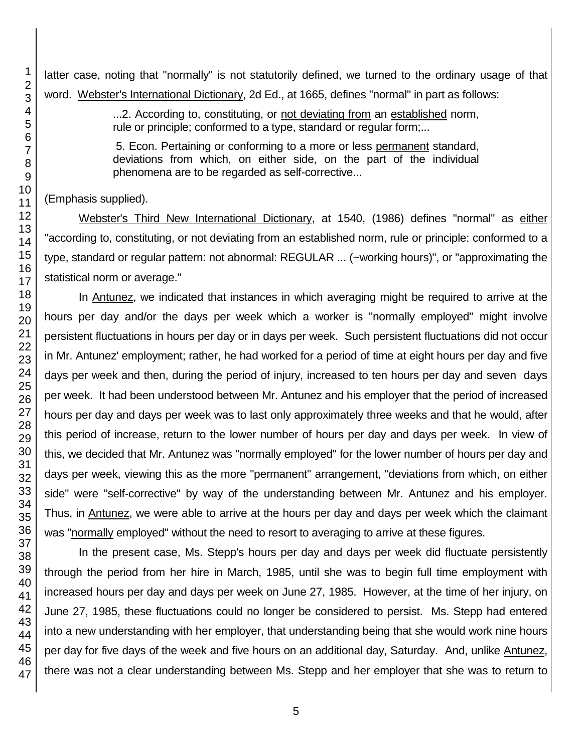latter case, noting that "normally" is not statutorily defined, we turned to the ordinary usage of that word. Webster's International Dictionary, 2d Ed., at 1665, defines "normal" in part as follows:

> ...2. According to, constituting, or not deviating from an established norm, rule or principle; conformed to a type, standard or regular form;...

> 5. Econ. Pertaining or conforming to a more or less permanent standard, deviations from which, on either side, on the part of the individual phenomena are to be regarded as self-corrective...

(Emphasis supplied).

Webster's Third New International Dictionary, at 1540, (1986) defines "normal" as either "according to, constituting, or not deviating from an established norm, rule or principle: conformed to a type, standard or regular pattern: not abnormal: REGULAR ... (~working hours)", or "approximating the statistical norm or average."

In Antunez, we indicated that instances in which averaging might be required to arrive at the hours per day and/or the days per week which a worker is "normally employed" might involve persistent fluctuations in hours per day or in days per week. Such persistent fluctuations did not occur in Mr. Antunez' employment; rather, he had worked for a period of time at eight hours per day and five days per week and then, during the period of injury, increased to ten hours per day and seven days per week. It had been understood between Mr. Antunez and his employer that the period of increased hours per day and days per week was to last only approximately three weeks and that he would, after this period of increase, return to the lower number of hours per day and days per week. In view of this, we decided that Mr. Antunez was "normally employed" for the lower number of hours per day and days per week, viewing this as the more "permanent" arrangement, "deviations from which, on either side" were "self-corrective" by way of the understanding between Mr. Antunez and his employer. Thus, in Antunez, we were able to arrive at the hours per day and days per week which the claimant was "normally employed" without the need to resort to averaging to arrive at these figures.

In the present case, Ms. Stepp's hours per day and days per week did fluctuate persistently through the period from her hire in March, 1985, until she was to begin full time employment with increased hours per day and days per week on June 27, 1985. However, at the time of her injury, on June 27, 1985, these fluctuations could no longer be considered to persist. Ms. Stepp had entered into a new understanding with her employer, that understanding being that she would work nine hours per day for five days of the week and five hours on an additional day, Saturday. And, unlike Antunez, there was not a clear understanding between Ms. Stepp and her employer that she was to return to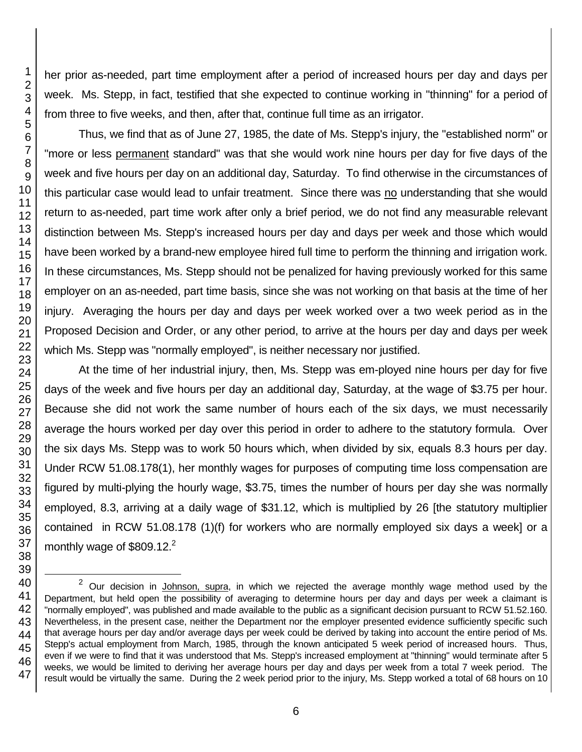her prior as-needed, part time employment after a period of increased hours per day and days per week. Ms. Stepp, in fact, testified that she expected to continue working in "thinning" for a period of from three to five weeks, and then, after that, continue full time as an irrigator.

Thus, we find that as of June 27, 1985, the date of Ms. Stepp's injury, the "established norm" or "more or less permanent standard" was that she would work nine hours per day for five days of the week and five hours per day on an additional day, Saturday. To find otherwise in the circumstances of this particular case would lead to unfair treatment. Since there was no understanding that she would return to as-needed, part time work after only a brief period, we do not find any measurable relevant distinction between Ms. Stepp's increased hours per day and days per week and those which would have been worked by a brand-new employee hired full time to perform the thinning and irrigation work. In these circumstances, Ms. Stepp should not be penalized for having previously worked for this same employer on an as-needed, part time basis, since she was not working on that basis at the time of her injury. Averaging the hours per day and days per week worked over a two week period as in the Proposed Decision and Order, or any other period, to arrive at the hours per day and days per week which Ms. Stepp was "normally employed", is neither necessary nor justified.

At the time of her industrial injury, then, Ms. Stepp was em-ployed nine hours per day for five days of the week and five hours per day an additional day, Saturday, at the wage of \$3.75 per hour. Because she did not work the same number of hours each of the six days, we must necessarily average the hours worked per day over this period in order to adhere to the statutory formula. Over the six days Ms. Stepp was to work 50 hours which, when divided by six, equals 8.3 hours per day. Under RCW 51.08.178(1), her monthly wages for purposes of computing time loss compensation are figured by multi-plying the hourly wage, \$3.75, times the number of hours per day she was normally employed, 8.3, arriving at a daily wage of \$31.12, which is multiplied by 26 [the statutory multiplier contained in RCW 51.08.178 (1)(f) for workers who are normally employed six days a week] or a monthly wage of  $$809.12<sup>2</sup>$ 

l

 $2$  Our decision in Johnson, supra, in which we rejected the average monthly wage method used by the Department, but held open the possibility of averaging to determine hours per day and days per week a claimant is "normally employed", was published and made available to the public as a significant decision pursuant to RCW 51.52.160. Nevertheless, in the present case, neither the Department nor the employer presented evidence sufficiently specific such that average hours per day and/or average days per week could be derived by taking into account the entire period of Ms. Stepp's actual employment from March, 1985, through the known anticipated 5 week period of increased hours. Thus, even if we were to find that it was understood that Ms. Stepp's increased employment at "thinning" would terminate after 5 weeks, we would be limited to deriving her average hours per day and days per week from a total 7 week period. The result would be virtually the same. During the 2 week period prior to the injury, Ms. Stepp worked a total of 68 hours on 10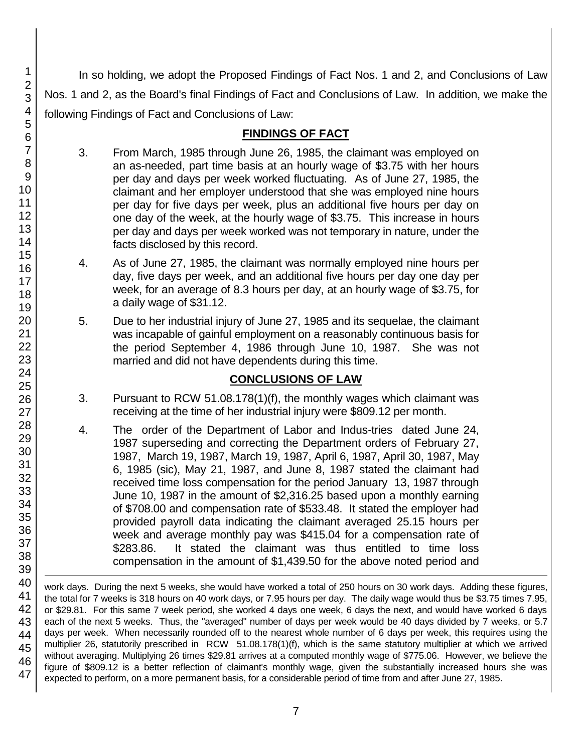In so holding, we adopt the Proposed Findings of Fact Nos. 1 and 2, and Conclusions of Law Nos. 1 and 2, as the Board's final Findings of Fact and Conclusions of Law. In addition, we make the following Findings of Fact and Conclusions of Law:

# **FINDINGS OF FACT**

- 3. From March, 1985 through June 26, 1985, the claimant was employed on an as-needed, part time basis at an hourly wage of \$3.75 with her hours per day and days per week worked fluctuating. As of June 27, 1985, the claimant and her employer understood that she was employed nine hours per day for five days per week, plus an additional five hours per day on one day of the week, at the hourly wage of \$3.75. This increase in hours per day and days per week worked was not temporary in nature, under the facts disclosed by this record.
- 4. As of June 27, 1985, the claimant was normally employed nine hours per day, five days per week, and an additional five hours per day one day per week, for an average of 8.3 hours per day, at an hourly wage of \$3.75, for a daily wage of \$31.12.
- 5. Due to her industrial injury of June 27, 1985 and its sequelae, the claimant was incapable of gainful employment on a reasonably continuous basis for the period September 4, 1986 through June 10, 1987. She was not married and did not have dependents during this time.

# **CONCLUSIONS OF LAW**

- 3. Pursuant to RCW 51.08.178(1)(f), the monthly wages which claimant was receiving at the time of her industrial injury were \$809.12 per month.
- 4. The order of the Department of Labor and Indus-tries dated June 24, 1987 superseding and correcting the Department orders of February 27, 1987, March 19, 1987, March 19, 1987, April 6, 1987, April 30, 1987, May 6, 1985 (sic), May 21, 1987, and June 8, 1987 stated the claimant had received time loss compensation for the period January 13, 1987 through June 10, 1987 in the amount of \$2,316.25 based upon a monthly earning of \$708.00 and compensation rate of \$533.48. It stated the employer had provided payroll data indicating the claimant averaged 25.15 hours per week and average monthly pay was \$415.04 for a compensation rate of \$283.86. It stated the claimant was thus entitled to time loss compensation in the amount of \$1,439.50 for the above noted period and

1 work days. During the next 5 weeks, she would have worked a total of 250 hours on 30 work days. Adding these figures, the total for 7 weeks is 318 hours on 40 work days, or 7.95 hours per day. The daily wage would thus be \$3.75 times 7.95, or \$29.81. For this same 7 week period, she worked 4 days one week, 6 days the next, and would have worked 6 days each of the next 5 weeks. Thus, the "averaged" number of days per week would be 40 days divided by 7 weeks, or 5.7 days per week. When necessarily rounded off to the nearest whole number of 6 days per week, this requires using the multiplier 26, statutorily prescribed in RCW 51.08.178(1)(f), which is the same statutory multiplier at which we arrived without averaging. Multiplying 26 times \$29.81 arrives at a computed monthly wage of \$775.06. However, we believe the figure of \$809.12 is a better reflection of claimant's monthly wage, given the substantially increased hours she was expected to perform, on a more permanent basis, for a considerable period of time from and after June 27, 1985.